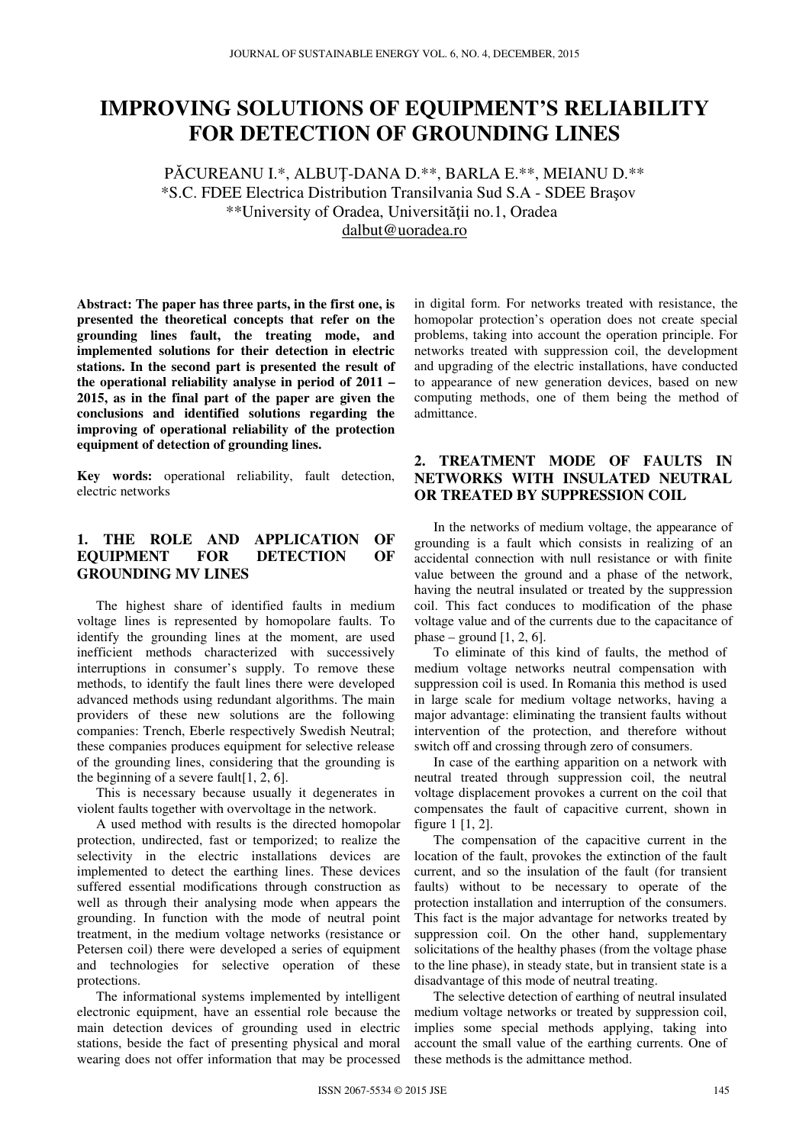# **IMPROVING SOLUTIONS OF EQUIPMENT'S RELIABILITY FOR DETECTION OF GROUNDING LINES**

PĂCUREANU I.\*, ALBUŢ-DANA D.\*\*, BARLA E.\*\*, MEIANU D.\*\* \*S.C. FDEE Electrica Distribution Transilvania Sud S.A - SDEE Braşov \*\*University of Oradea, Universităţii no.1, Oradea dalbut@uoradea.ro

**Abstract: The paper has three parts, in the first one, is presented the theoretical concepts that refer on the grounding lines fault, the treating mode, and implemented solutions for their detection in electric stations. In the second part is presented the result of the operational reliability analyse in period of 2011 – 2015, as in the final part of the paper are given the conclusions and identified solutions regarding the improving of operational reliability of the protection equipment of detection of grounding lines.** 

**Key words:** operational reliability, fault detection, electric networks

# **1. THE ROLE AND APPLICATION OF EQUIPMENT FOR DETECTION OF GROUNDING MV LINES**

The highest share of identified faults in medium voltage lines is represented by homopolare faults. To identify the grounding lines at the moment, are used inefficient methods characterized with successively interruptions in consumer's supply. To remove these methods, to identify the fault lines there were developed advanced methods using redundant algorithms. The main providers of these new solutions are the following companies: Trench, Eberle respectively Swedish Neutral; these companies produces equipment for selective release of the grounding lines, considering that the grounding is the beginning of a severe fault[1, 2, 6].

This is necessary because usually it degenerates in violent faults together with overvoltage in the network.

A used method with results is the directed homopolar protection, undirected, fast or temporized; to realize the selectivity in the electric installations devices are implemented to detect the earthing lines. These devices suffered essential modifications through construction as well as through their analysing mode when appears the grounding. In function with the mode of neutral point treatment, in the medium voltage networks (resistance or Petersen coil) there were developed a series of equipment and technologies for selective operation of these protections.

The informational systems implemented by intelligent electronic equipment, have an essential role because the main detection devices of grounding used in electric stations, beside the fact of presenting physical and moral wearing does not offer information that may be processed

in digital form. For networks treated with resistance, the homopolar protection's operation does not create special problems, taking into account the operation principle. For networks treated with suppression coil, the development and upgrading of the electric installations, have conducted to appearance of new generation devices, based on new computing methods, one of them being the method of admittance.

# **2. TREATMENT MODE OF FAULTS IN NETWORKS WITH INSULATED NEUTRAL OR TREATED BY SUPPRESSION COIL**

In the networks of medium voltage, the appearance of grounding is a fault which consists in realizing of an accidental connection with null resistance or with finite value between the ground and a phase of the network, having the neutral insulated or treated by the suppression coil. This fact conduces to modification of the phase voltage value and of the currents due to the capacitance of phase – ground  $[1, 2, 6]$ .

To eliminate of this kind of faults, the method of medium voltage networks neutral compensation with suppression coil is used. In Romania this method is used in large scale for medium voltage networks, having a major advantage: eliminating the transient faults without intervention of the protection, and therefore without switch off and crossing through zero of consumers.

In case of the earthing apparition on a network with neutral treated through suppression coil, the neutral voltage displacement provokes a current on the coil that compensates the fault of capacitive current, shown in figure 1 [1, 2].

The compensation of the capacitive current in the location of the fault, provokes the extinction of the fault current, and so the insulation of the fault (for transient faults) without to be necessary to operate of the protection installation and interruption of the consumers. This fact is the major advantage for networks treated by suppression coil. On the other hand, supplementary solicitations of the healthy phases (from the voltage phase to the line phase), in steady state, but in transient state is a disadvantage of this mode of neutral treating.

The selective detection of earthing of neutral insulated medium voltage networks or treated by suppression coil, implies some special methods applying, taking into account the small value of the earthing currents. One of these methods is the admittance method.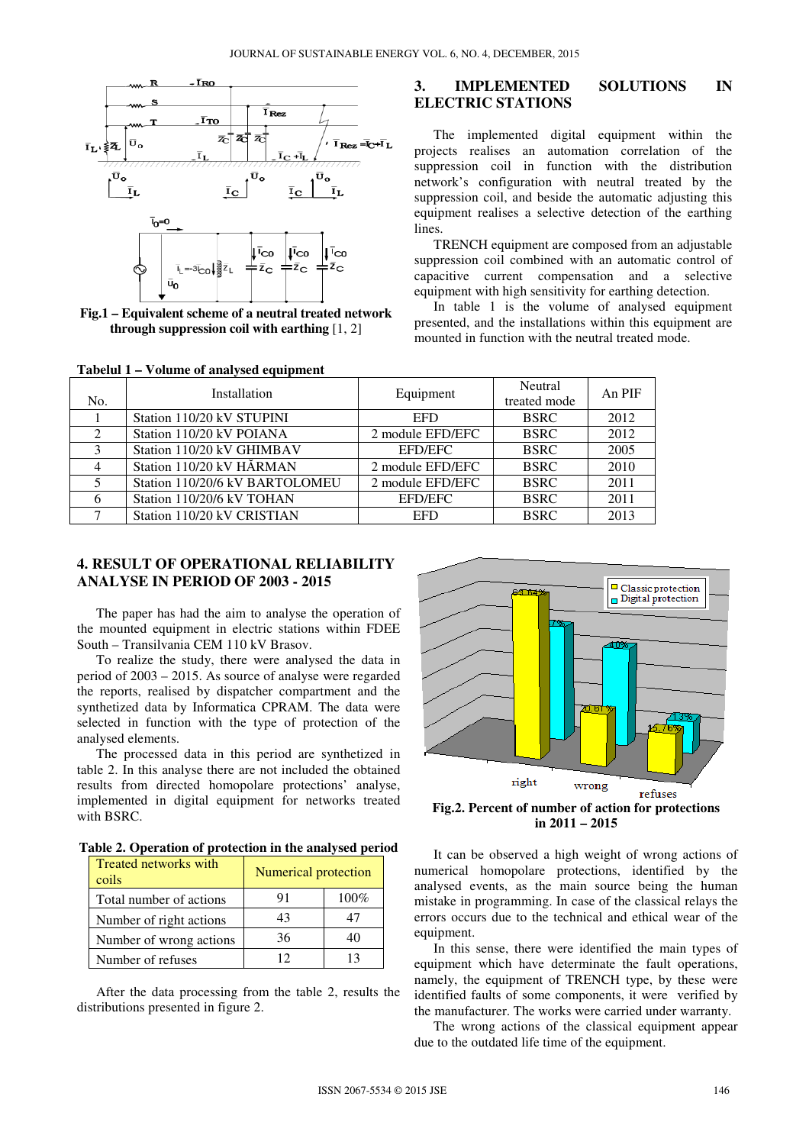

**Fig.1 – Equivalent scheme of a neutral treated network through suppression coil with earthing** [1, 2]

| Tabelul 1 – Volume of analysed equipment |  |  |  |
|------------------------------------------|--|--|--|
|------------------------------------------|--|--|--|

### **3. IMPLEMENTED SOLUTIONS IN ELECTRIC STATIONS**

The implemented digital equipment within the projects realises an automation correlation of the suppression coil in function with the distribution network's configuration with neutral treated by the suppression coil, and beside the automatic adjusting this equipment realises a selective detection of the earthing lines.

TRENCH equipment are composed from an adjustable suppression coil combined with an automatic control of capacitive current compensation and a selective equipment with high sensitivity for earthing detection.

In table 1 is the volume of analysed equipment presented, and the installations within this equipment are mounted in function with the neutral treated mode.

| No. | Installation                   | Equipment        | <b>Neutral</b><br>treated mode | An PIF |
|-----|--------------------------------|------------------|--------------------------------|--------|
|     | Station 110/20 kV STUPINI      | <b>EFD</b>       | <b>BSRC</b>                    | 2012   |
|     | Station 110/20 kV POIANA       | 2 module EFD/EFC | <b>BSRC</b>                    | 2012   |
| 3   | Station 110/20 kV GHIMBAV      | <b>EFD/EFC</b>   | <b>BSRC</b>                    | 2005   |
|     | Station 110/20 kV HĂRMAN       | 2 module EFD/EFC | <b>BSRC</b>                    | 2010   |
|     | Station 110/20/6 kV BARTOLOMEU | 2 module EFD/EFC | <b>BSRC</b>                    | 2011   |
|     | Station 110/20/6 kV TOHAN      | <b>EFD/EFC</b>   | <b>BSRC</b>                    | 2011   |
|     | Station 110/20 kV CRISTIAN     | <b>EFD</b>       | <b>BSRC</b>                    | 2013   |
|     |                                |                  |                                |        |

# **4. RESULT OF OPERATIONAL RELIABILITY ANALYSE IN PERIOD OF 2003 - 2015**

The paper has had the aim to analyse the operation of the mounted equipment in electric stations within FDEE South – Transilvania CEM 110 kV Brasov.

To realize the study, there were analysed the data in period of 2003 – 2015. As source of analyse were regarded the reports, realised by dispatcher compartment and the synthetized data by Informatica CPRAM. The data were selected in function with the type of protection of the analysed elements.

The processed data in this period are synthetized in table 2. In this analyse there are not included the obtained results from directed homopolare protections' analyse, implemented in digital equipment for networks treated with BSRC.

**Table 2. Operation of protection in the analysed period** 

| <b>Treated networks with</b><br>coils | <b>Numerical protection</b> |         |  |  |
|---------------------------------------|-----------------------------|---------|--|--|
| Total number of actions               | 91                          | $100\%$ |  |  |
| Number of right actions               | 43                          |         |  |  |
| Number of wrong actions               | 36                          |         |  |  |
| Number of refuses                     | 12                          | 13      |  |  |

After the data processing from the table 2, results the distributions presented in figure 2.



**Fig.2. Percent of number of action for protections in 2011 – 2015** 

It can be observed a high weight of wrong actions of numerical homopolare protections, identified by the analysed events, as the main source being the human mistake in programming. In case of the classical relays the errors occurs due to the technical and ethical wear of the equipment.

In this sense, there were identified the main types of equipment which have determinate the fault operations, namely, the equipment of TRENCH type, by these were identified faults of some components, it were verified by the manufacturer. The works were carried under warranty.

The wrong actions of the classical equipment appear due to the outdated life time of the equipment.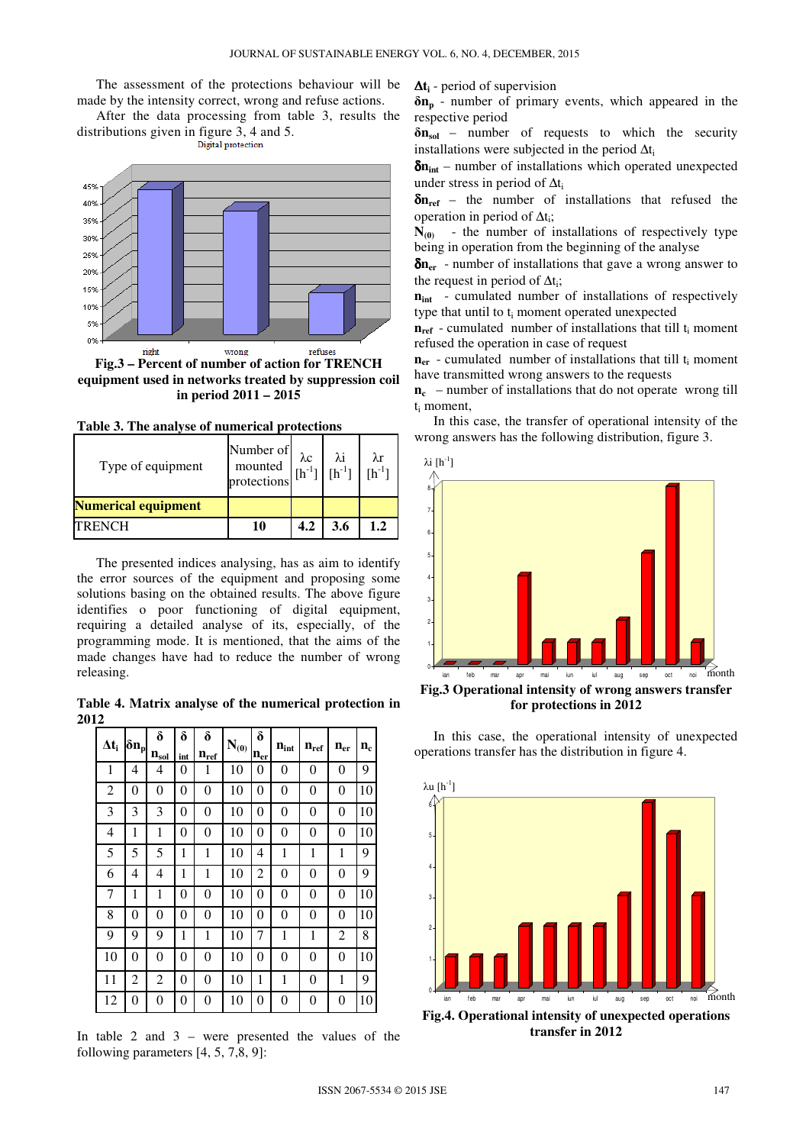The assessment of the protections behaviour will be made by the intensity correct, wrong and refuse actions.

After the data processing from table 3, results the distributions given in figure 3, 4 and 5.<br>Digital protection



**Fig.3 – Percent of number of action for TRENCH equipment used in networks treated by suppression coil in period 2011 – 2015** 

| Type of equipment          | Number of $\lambda c$<br>mounted $\begin{bmatrix} \lambda c \\ \text{In}^{-1} \end{bmatrix}$ $\begin{bmatrix} \lambda i \\ \text{In}^{-1} \end{bmatrix}$ $\begin{bmatrix} \lambda r \\ \text{In}^{-1} \end{bmatrix}$ |     |     |  |
|----------------------------|----------------------------------------------------------------------------------------------------------------------------------------------------------------------------------------------------------------------|-----|-----|--|
| <b>Numerical equipment</b> |                                                                                                                                                                                                                      |     |     |  |
| <b>TRENCH</b>              | 10                                                                                                                                                                                                                   | 4.2 | 3.6 |  |

**Table 3. The analyse of numerical protections** 

The presented indices analysing, has as aim to identify the error sources of the equipment and proposing some solutions basing on the obtained results. The above figure identifies o poor functioning of digital equipment, requiring a detailed analyse of its, especially, of the programming mode. It is mentioned, that the aims of the made changes have had to reduce the number of wrong releasing.

**Table 4. Matrix analyse of the numerical protection in 2012** 

| $\Delta t_i$ | $\delta n_p$ | δ                         | δ   | $\boldsymbol{\delta}$ | $\mathbf{N}_{(0)}$ | δ                        | $\mathbf{n}_{\text{int}}$ | $n_{ref}$ | $\mathbf{n}_{\text{er}}$ | $n_c$ |
|--------------|--------------|---------------------------|-----|-----------------------|--------------------|--------------------------|---------------------------|-----------|--------------------------|-------|
|              |              | $\mathbf{n}_{\text{sol}}$ | int | $n_{\underline{ref}}$ |                    | $\mathbf{n}_{\text{er}}$ |                           |           |                          |       |
| 1            | 4            | 4                         | 0   | 1                     | 10                 | 0                        | 0                         | 0         | 0                        | 9     |
| 2            | 0            | 0                         | 0   | 0                     | 10                 | 0                        | $\overline{0}$            | 0         | 0                        | 10    |
| 3            | 3            | 3                         | 0   | 0                     | 10                 | 0                        | $\overline{0}$            | 0         | 0                        | 10    |
| 4            | 1            | 1                         | 0   | 0                     | 10                 | 0                        | 0                         | 0         | 0                        | 10    |
| 5            | 5            | 5                         | 1   | 1                     | 10                 | 4                        | 1                         | 1         | 1                        | 9     |
| 6            | 4            | 4                         | 1   | 1                     | 10                 | 2                        | $\overline{0}$            | 0         | 0                        | 9     |
| 7            | 1            | 1                         | 0   | 0                     | 10                 | 0                        | $\overline{0}$            | 0         | 0                        | 10    |
| 8            | 0            | 0                         | 0   | 0                     | 10                 | 0                        | 0                         | 0         | 0                        | 10    |
| 9            | 9            | 9                         | 1   | 1                     | 10                 | 7                        | 1                         | 1         | 2                        | 8     |
| 10           | 0            | 0                         | 0   | 0                     | 10                 | 0                        | 0                         | 0         | 0                        | 10    |
| 11           | 2            | 2                         | 0   | 0                     | 10                 | 1                        | 1                         | 0         | 1                        | 9     |
| 12           | 0            | $\theta$                  | 0   | 0                     | 10                 | $\overline{0}$           | 0                         | 0         | 0                        | 10    |

In table 2 and 3 – were presented the values of the following parameters [4, 5, 7,8, 9]:

∆**ti** - period of supervision

**δnp** - number of primary events, which appeared in the respective period

**δnsol** – number of requests to which the security installations were subjected in the period  $\Delta t_i$ 

δ**nint** – number of installations which operated unexpected under stress in period of  $\Delta t_i$ 

δ**nref** – the number of installations that refused the operation in period of  $\Delta t_i$ ;

 $N_{(0)}$  - the number of installations of respectively type being in operation from the beginning of the analyse

δ**ner** - number of installations that gave a wrong answer to the request in period of  $\Delta t_i$ ;

**n**<sub>int</sub> - cumulated number of installations of respectively type that until to  $t_i$  moment operated unexpected

 $n_{ref}$  - cumulated number of installations that till  $t_i$  moment refused the operation in case of request

 $n_{er}$  - cumulated number of installations that till  $t_i$  moment have transmitted wrong answers to the requests

**nc** – number of installations that do not operate wrong till ti moment,

In this case, the transfer of operational intensity of the wrong answers has the following distribution, figure 3.



**for protections in 2012** 

In this case, the operational intensity of unexpected operations transfer has the distribution in figure 4.



**Fig.4. Operational intensity of unexpected operations transfer in 2012**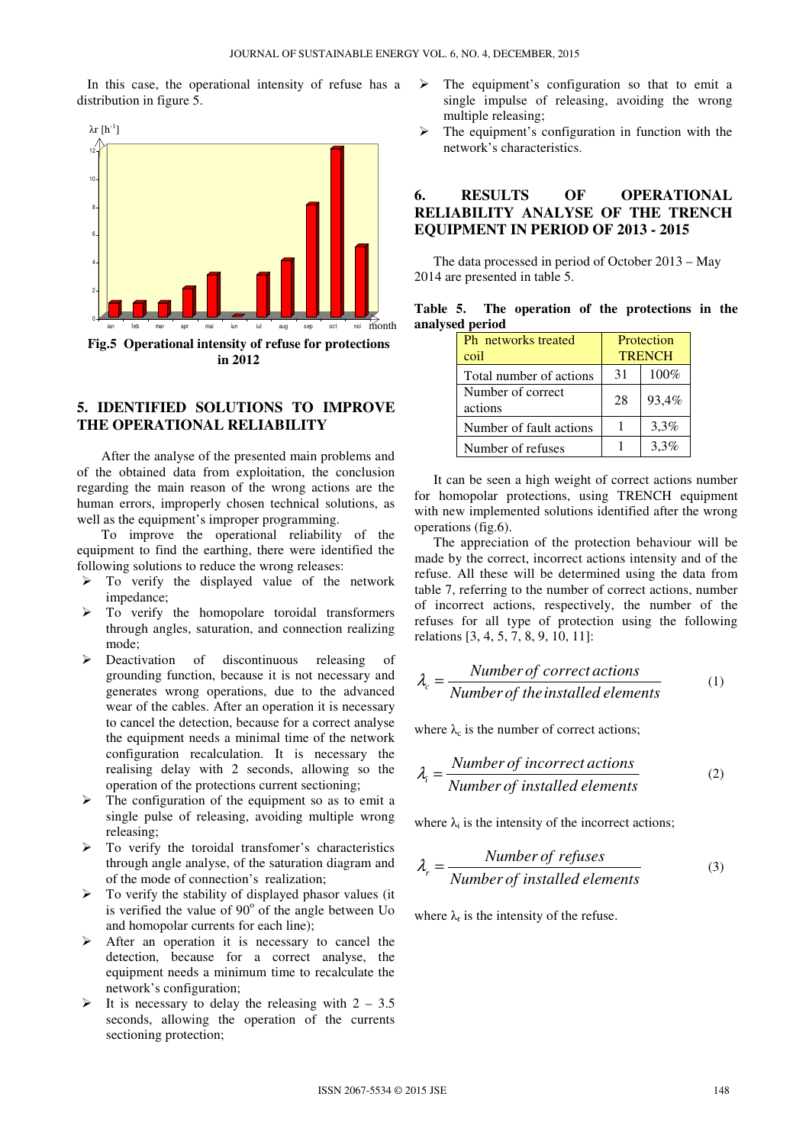In this case, the operational intensity of refuse has a distribution in figure 5.



#### **5. IDENTIFIED SOLUTIONS TO IMPROVE THE OPERATIONAL RELIABILITY**

After the analyse of the presented main problems and of the obtained data from exploitation, the conclusion regarding the main reason of the wrong actions are the human errors, improperly chosen technical solutions, as well as the equipment's improper programming.

To improve the operational reliability of the equipment to find the earthing, there were identified the following solutions to reduce the wrong releases:

- $\triangleright$  To verify the displayed value of the network impedance;
- $\triangleright$  To verify the homopolare toroidal transformers through angles, saturation, and connection realizing mode;
- Deactivation of discontinuous releasing of grounding function, because it is not necessary and generates wrong operations, due to the advanced wear of the cables. After an operation it is necessary to cancel the detection, because for a correct analyse the equipment needs a minimal time of the network configuration recalculation. It is necessary the realising delay with 2 seconds, allowing so the operation of the protections current sectioning;
- The configuration of the equipment so as to emit a single pulse of releasing, avoiding multiple wrong releasing;
- $\triangleright$  To verify the toroidal transfomer's characteristics through angle analyse, of the saturation diagram and of the mode of connection's realization;
- $\triangleright$  To verify the stability of displayed phasor values (it is verified the value of  $90^{\circ}$  of the angle between Uo and homopolar currents for each line);
- $\triangleright$  After an operation it is necessary to cancel the detection, because for a correct analyse, the equipment needs a minimum time to recalculate the network's configuration;
- It is necessary to delay the releasing with  $2 3.5$ seconds, allowing the operation of the currents sectioning protection;
- $\triangleright$  The equipment's configuration so that to emit a single impulse of releasing, avoiding the wrong multiple releasing;
- $\triangleright$  The equipment's configuration in function with the network's characteristics.

### **6. RESULTS OF OPERATIONAL RELIABILITY ANALYSE OF THE TRENCH EQUIPMENT IN PERIOD OF 2013 - 2015**

The data processed in period of October 2013 – May 2014 are presented in table 5.

|                 |  |  | Table 5. The operation of the protections in the |  |
|-----------------|--|--|--------------------------------------------------|--|
| analysed period |  |  |                                                  |  |

| <b>Ph</b> networks treated<br>coil | Protection<br><b>TRENCH</b> |         |  |
|------------------------------------|-----------------------------|---------|--|
| Total number of actions            | 31                          | 100%    |  |
| Number of correct<br>actions       | 28                          | 93.4%   |  |
| Number of fault actions            |                             | $3.3\%$ |  |
| Number of refuses                  |                             | $3.3\%$ |  |

It can be seen a high weight of correct actions number for homopolar protections, using TRENCH equipment with new implemented solutions identified after the wrong operations (fig.6).

The appreciation of the protection behaviour will be made by the correct, incorrect actions intensity and of the refuse. All these will be determined using the data from table 7, referring to the number of correct actions, number of incorrect actions, respectively, the number of the refuses for all type of protection using the following relations [3, 4, 5, 7, 8, 9, 10, 11]:

$$
\lambda_c = \frac{Number\ of\ correct\ actions}{Number\ of\ the\ installed\ elements} \tag{1}
$$

where  $\lambda_c$  is the number of correct actions;

$$
\lambda_i = \frac{Number\ of\ incorrect\ actions}{Number\ of\ installed\ elements} \tag{2}
$$

where  $\lambda_i$  is the intensity of the incorrect actions;

$$
\lambda_r = \frac{Number\ of\ refuses}{Number\ of\ installed\ elements} \tag{3}
$$

where  $\lambda_r$  is the intensity of the refuse.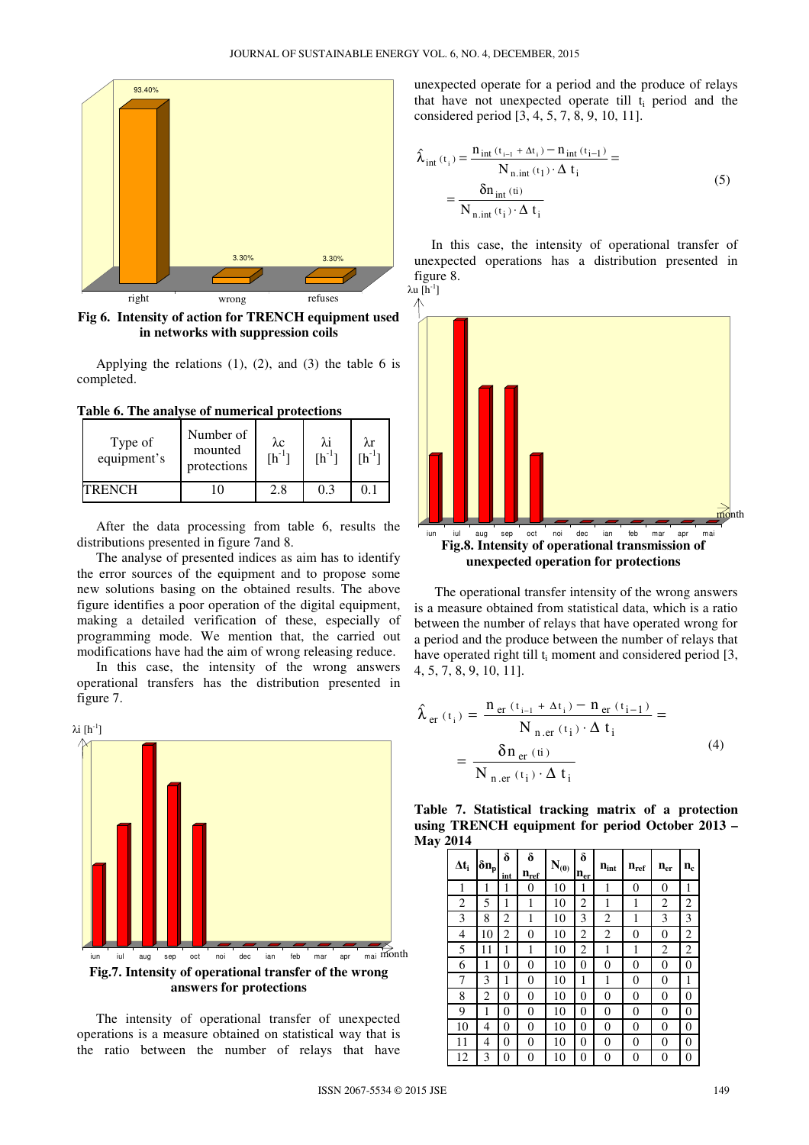

**Fig 6. Intensity of action for TRENCH equipment used in networks with suppression coils** 

Applying the relations  $(1)$ ,  $(2)$ , and  $(3)$  the table 6 is completed.

**Table 6. The analyse of numerical protections** 

| Type of<br>equipment's | Number of<br>mounted<br>protections | $\lambda c$<br>$[h^{-1}]$ | λi<br>$[h^{-1}]$ | λr<br>$rh^{-1}$ |
|------------------------|-------------------------------------|---------------------------|------------------|-----------------|
| <b>TRENCH</b>          |                                     | 2.8                       |                  |                 |

After the data processing from table 6, results the distributions presented in figure 7and 8.

The analyse of presented indices as aim has to identify the error sources of the equipment and to propose some new solutions basing on the obtained results. The above figure identifies a poor operation of the digital equipment, making a detailed verification of these, especially of programming mode. We mention that, the carried out modifications have had the aim of wrong releasing reduce.

In this case, the intensity of the wrong answers operational transfers has the distribution presented in figure 7.



The intensity of operational transfer of unexpected operations is a measure obtained on statistical way that is the ratio between the number of relays that have unexpected operate for a period and the produce of relays that have not unexpected operate till  $t_i$  period and the considered period [3, 4, 5, 7, 8, 9, 10, 11].

$$
\hat{\lambda}_{int} (t_i) = \frac{n_{int} (t_{i-1} + \Delta t_i) - n_{int} (t_{i-1})}{N_{n,int} (t_1) \cdot \Delta t_i} = \frac{\delta n_{int} (ti)}{N_{n,int} (t_i) \cdot \Delta t_i}
$$
\n(5)

 In this case, the intensity of operational transfer of unexpected operations has a distribution presented in figure 8.

λu  $[h^{-1}]$ 



 The operational transfer intensity of the wrong answers is a measure obtained from statistical data, which is a ratio between the number of relays that have operated wrong for a period and the produce between the number of relays that have operated right till  $t_i$  moment and considered period [3, 4, 5, 7, 8, 9, 10, 11].

$$
\hat{\lambda}_{er} (t_i) = \frac{n_{er} (t_{i-1} + \Delta t_i) - n_{er} (t_{i-1})}{N_{n,er} (t_i) \cdot \Delta t_i} = \frac{\delta n_{er} (t_i)}{N_{n,er} (t_i) \cdot \Delta t_i}
$$
\n(4)

**Table 7. Statistical tracking matrix of a protection using TRENCH equipment for period October 2013 – May 2014** 

| $\Delta t_i$   | $\delta n_p$ | δ<br>int | δ<br>$n_{ref}$ | $\mathbf{N}_{(0)}$ | δ<br>$n_{er}$  | $\mathbf{n}_{\mathrm{int}}$ | $n_{ref}$ | $\mathbf{n}_{\text{er}}$ | $n_c$ |
|----------------|--------------|----------|----------------|--------------------|----------------|-----------------------------|-----------|--------------------------|-------|
| 1              | 1            | l        | 0              | 10                 | 1              | 1                           | 0         | 0                        | 1     |
| $\overline{2}$ | 5            | 1        | 1              | 10                 | 2              | 1                           | 1         | 2                        | 2     |
| 3              | 8            | 2        | 1              | 10                 | 3              | 2                           | 1         | 3                        | 3     |
| $\overline{4}$ | 10           | 2        | 0              | 10                 | 2              | 2                           | 0         | 0                        | 2     |
| 5              | 11           | 1        | 1              | 10                 | 2              | 1                           | 1         | 2                        | 2     |
| 6              | 1            | 0        | 0              | 10                 | 0              | 0                           | 0         | 0                        | 0     |
| 7              | 3            | 1        | 0              | 10                 | 1              | 1                           | 0         | 0                        | 1     |
| 8              | 2            | 0        | 0              | 10                 | 0              | 0                           | 0         | 0                        | 0     |
| 9              | 1            | 0        | 0              | 10                 | 0              | 0                           | 0         | 0                        | 0     |
| 10             | 4            | 0        | 0              | 10                 | 0              | 0                           | 0         | 0                        | 0     |
| 11             | 4            | 0        | 0              | 10                 | 0              | 0                           | 0         | 0                        | 0     |
| 12             | 3            | 0        | 0              | 10                 | $\overline{0}$ | 0                           | 0         | 0                        | 0     |